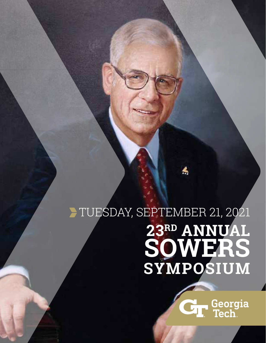# TUESDAY, SEPTEMBER 21, 2021 **23RD ANNUAL SOWERS SYMPOSIUM**

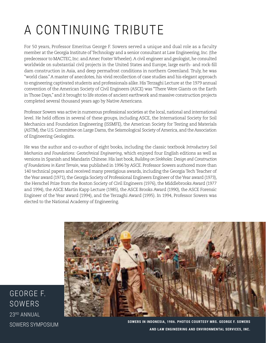# A CONTINUING TRIBUTE

For 50 years, Professor Emeritus George F. Sowers served a unique and dual role as a faculty member at the Georgia Institute of Technology and a senior consultant at Law Engineering, Inc. (the predecessor to MACTEC, Inc. and Amec Foster Wheeler). A civil engineer and geologist, he consulted worldwide on substantial civil projects in the United States and Europe, large earth- and rock-fill dam construction in Asia, and deep permafrost conditions in northern Greenland. Truly, he was "world class." A master of anecdotes, his vivid recollection of case studies and his elegant approach to engineering captivated students and professionals alike. His Terzaghi Lecture at the 1979 annual convention of the American Society of Civil Engineers (ASCE) was "There Were Giants on the Earth in Those Days," and it brought to life stories of ancient earthwork and massive construction projects completed several thousand years ago by Native Americans.

Professor Sowers was active in numerous professional societies at the local, national and international level. He held offices in several of these groups, including ASCE, the International Society for Soil Mechanics and Foundation Engineering (ISSMFE), the American Society for Testing and Materials (ASTM), the U.S. Committee on Large Dams, the Seismological Society of America, and the Association of Engineering Geologists.

He was the author and co-author of eight books, including the classic textbook *Introductory Soil Mechanics and Foundations: Geotechnical Engineering*, which enjoyed four English editions as well as versions in Spanish and Mandarin Chinese. His last book, *Building on Sinkholes: Design and Construction of Foundations in Karst Terrain*, was published in 1996 by ASCE. Professor Sowers authored more than 140 technical papers and received many prestigious awards, including the Georgia Tech Teacher of the Year award (1971), the Georgia Society of Professional Engineers Engineer of the Year award (1973), the Herschel Prize from the Boston Society of Civil Engineers (1976), the Middlebrooks Award (1977 and 1994), the ASCE Martin Kapp Lecture (1985), the ASCE Brooks Award (1990), the ASCE Forensic Engineer of the Year award (1994), and the Terzaghi Award (1995). In 1994, Professor Sowers was elected to the National Academy of Engineering.



GEORGE F. SOWERS 23RD ANNUAL

SOWERS SYMPOSIUM **SOWERS IN INDONESIA, 1986. PHOTOS COURTESY MRS. GEORGE F. SOWERS AND LAW ENGINEERING AND ENVIRONMENTAL SERVICES, INC.**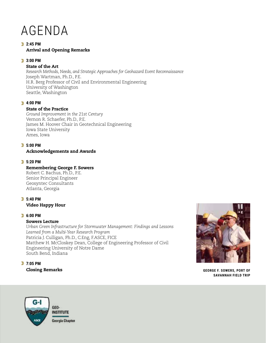# AGENDA

### **2:45 PM** Arrival and Opening Remarks

### **3:00 PM**

### State of the Art

*Research Methods, Needs, and Strategic Approaches for Geohazard Event Reconnaissance* Joseph Wartman, Ph.D., P.E. H.R. Berg Professor of Civil and Environmental Engineering University of Washington Seattle, Washington

### **4:00 PM**

### State of the Practice

*Ground Improvement in the 21st Century* Vernon R. Schaefer, Ph.D., P.E. James M. Hoover Chair in Geotechnical Engineering Iowa State University Ames, Iowa

#### **5:00 PM**  Acknowledgements and Awards

### **5:20 PM**

### Remembering George F. Sowers

Robert C. Bachus, Ph.D., P.E. Senior Principal Engineer Geosyntec Consultants Atlanta, Georgia

# **5:40 PM**  Video Happy Hour

# **6:00 PM**

### Sowers Lecture

*Urban Green Infrastructure for Stormwater Management: Findings and Lessons Learned from a Multi-Year Research Program*  Patricia J. Culligan, Ph.D., C.Eng, F.ASCE, FICE Matthew H. McCloskey Dean, College of Engineering Professor of Civil Engineering University of Notre Dame South Bend, Indiana

# **7:05 PM** Closing Remarks



**GEORGE F. SOWERS, PORT OF SAVANNAH FIELD TRIP**

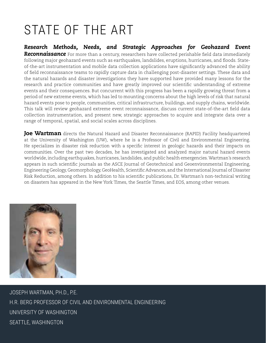# STATE OF THE ART

*Research Methods, Needs, and Strategic Approaches for Geohazard Event Reconnaissance* For more than a century, researchers have collected perishable field data immediately following major geohazard events such as earthquakes, landslides, eruptions, hurricanes, and floods. Stateof-the-art instrumentation and mobile data collection applications have significantly advanced the ability of field reconnaissance teams to rapidly capture data in challenging post-disaster settings. These data and the natural hazards and disaster investigations they have supported have provided many lessons for the research and practice communities and have greatly improved our scientific understanding of extreme events and their consequences. But concurrent with this progress has been a rapidly growing threat from a period of new extreme events, which has led to mounting concerns about the high levels of risk that natural hazard events pose to people, communities, critical infrastructure, buildings, and supply chains, worldwide. This talk will review geohazard extreme event reconnaissance, discuss current state-of-the-art field data collection instrumentation, and present new, strategic approaches to acquire and integrate data over a range of temporal, spatial, and social scales across disciplines.

**Joe Wartman** directs the Natural Hazard and Disaster Reconnaissance (RAPID) Facility headquartered at the University of Washington (UW), where he is a Professor of Civil and Environmental Engineering. He specializes in disaster risk reduction with a specific interest in geologic hazards and their impacts on communities. Over the past two decades, he has investigated and analyzed major natural hazard events worldwide, including earthquakes, hurricanes, landslides, and public health emergencies. Wartman's research appears in such scientific journals as the ASCE Journal of Geotechnical and Geoenvironmental Engineering, Engineering Geology, Geomorphology, GeoHealth, Scientific Advances, and the International Journal of Disaster Risk Reduction, among others. In addition to his scientific publications, Dr. Wartman's non-technical writing on disasters has appeared in the New York Times, the Seattle Times, and EOS, among other venues.



JOSEPH WARTMAN, PH.D., P.E. H.R. BERG PROFESSOR OF CIVIL AND ENVIRONMENTAL ENGINEERING UNIVERSITY OF WASHINGTON SEATTLE, WASHINGTON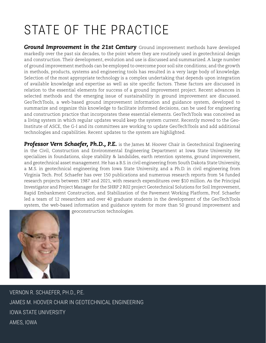# STATE OF THE PRACTICE

*Ground Improvement in the 21st Century* Ground improvement methods have developed markedly over the past six decades, to the point where they are routinely used in geotechnical design and construction. Their development, evolution and use is discussed and summarized. A large number of ground improvement methods can be employed to overcome poor soil site conditions; and the growth in methods, products, systems and engineering tools has resulted in a very large body of knowledge. Selection of the most appropriate technology is a complex undertaking that depends upon integration of available knowledge and expertise as well as site specific factors. These factors are discussed in relation to the essential elements for success of a ground improvement project. Recent advances in selected methods and the emerging issue of sustainability in ground improvement are discussed. GeoTechTools, a web-based ground improvement information and guidance system, developed to summarize and organize this knowledge to facilitate informed decisions, can be used for engineering and construction practice that incorporates these essential elements. GeoTechTools was conceived as a living system in which regular updates would keep the system current. Recently moved to the Geo-Institute of ASCE, the G-I and its committees are working to update GeoTechTools and add additional technologies and capabilities. Recent updates to the system are highlighted.

**Professor Vern Schaefer, Ph.D., P.E.** is the James M. Hoover Chair in Geotechnical Engineering in the Civil, Construction and Environmental Engineering Department at Iowa State University. He specializes in foundations, slope stability & landslides, earth retention systems, ground improvement, and geotechnical asset management. He has a B.S. in civil engineering from South Dakota State University, a M.S. in geotechnical engineering from Iowa State University, and a Ph.D. in civil engineering from Virginia Tech. Prof. Schaefer has over 150 publications and numerous research reports from 54 funded research projects between 1987 and 2021, with research expenditures over \$10 million. As the Principal Investigator and Project Manager for the SHRP 2 R02 project Geotechnical Solutions for Soil Improvement, Rapid Embankment Construction, and Stabilization of the Pavement Working Platform, Prof. Schaefer led a team of 12 researchers and over 40 graduate students in the development of the GeoTechTools system, the web-based information and guidance system for more than 50 ground improvement and geoconstruction technologies.



VERNON R. SCHAEFER, PH.D., P.E. JAMES M. HOOVER CHAIR IN GEOTECHNICAL ENGINEERING IOWA STATE UNIVERSITY AMES, IOWA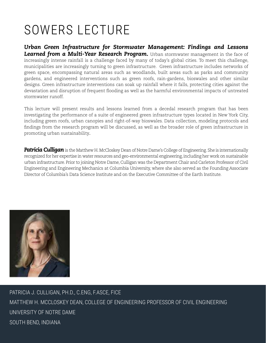# SOWERS LECTURE

*Urban Green Infrastructure for Stormwater Management: Findings and Lessons*  **Learned from a Multi-Year Research Program.** Urban stormwater management in the face of increasingly intense rainfall is a challenge faced by many of today's global cities. To meet this challenge, municipalities are increasingly turning to green infrastructure. Green infrastructure includes networks of green space, encompassing natural areas such as woodlands, built areas such as parks and community gardens, and engineered interventions such as green roofs, rain-gardens, bioswales and other similar designs. Green infrastructure interventions can soak up rainfall where it falls, protecting cities against the devastation and disruption of frequent flooding as well as the harmful environmental impacts of untreated stormwater runoff.

This lecture will present results and lessons learned from a decedal research program that has been investigating the performance of a suite of engineered green infrastructure types located in New York City, including green roofs, urban canopies and right-of-way bioswales. Data collection, modeling protocols and findings from the research program will be discussed, as well as the broader role of green infrastructure in promoting urban sustainability.

*Patricia Culligan* is the Matthew H. McCloskey Dean of Notre Dame's College of Engineering. She is internationally recognized for her expertise in water resources and geo-environmental engineering, including her work on sustainable urban infrastructure. Prior to joining Notre Dame, Culligan was the Department Chair and Carleton Professor of Civil Engineering and Engineering Mechanics at Columbia University, where she also served as the Founding Associate Director of Columbia's Data Science Institute and on the Executive Committee of the Earth Institute.



PATRICIA J. CULLIGAN, PH.D., C.ENG, F.ASCE, FICE MATTHEW H. MCCLOSKEY DEAN, COLLEGE OF ENGINEERING PROFESSOR OF CIVIL ENGINEERING UNIVERSITY OF NOTRE DAME SOUTH BEND, INDIANA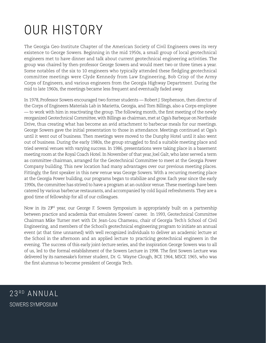# OUR HISTORY

The Georgia Geo-Institute Chapter of the American Society of Civil Engineers owes its very existence to George Sowers. Beginning in the mid 1950s, a small group of local geotechnical engineers met to have dinner and talk about current geotechnical engineering activities. The group was chaired by then-professor George Sowers and would meet two or three times a year. Some notables of the six to 10 engineers who typically attended these fledgling geotechnical committee meetings were Clyde Kennedy from Law Engineering, Bob Crisp of the Army Corps of Engineers, and various engineers from the Georgia Highway Department. During the mid to late 1960s, the meetings became less frequent and eventually faded away.

In 1978, Professor Sowers encouraged two former students — Robert J. Stephenson, then director of the Corps of Engineers Materials Lab in Marietta, Georgia, and Tom Billings, also a Corps employee — to work with him in reactivating the group. The following month, the first meeting of the newly reorganized Geotechnical Committee, with Billings as chairman, met at Oga's Barbeque on Northside Drive, thus creating what has become an avid attachment to barbecue meals for our meetings. George Sowers gave the initial presentation to those in attendance. Meetings continued at Oga's until it went out of business. Then meetings were moved to the Dunphy Hotel until it also went out of business. During the early 1980s, the group struggled to find a suitable meeting place and tried several venues with varying success. In 1986, presentations were taking place in a basement meeting room at the Royal Coach Hotel. In November of that year, Joel Galt, who later served a term as committee chairman, arranged for the Geotechnical Committee to meet at the Georgia Power Company building. This new location had many advantages over our previous meeting places. Fittingly, the first speaker in this new venue was George Sowers. With a recurring meeting place at the Georgia Power building, our programs began to stabilize and grow. Each year since the early 1990s, the committee has strived to have a program at an outdoor venue. These meetings have been catered by various barbecue restaurants, and accompanied by cold liquid refreshments. They are a good time of fellowship for all of our colleagues.

Now in its 23<sup>rd</sup> year, our George F. Sowers Symposium is appropriately built on a partnership between practice and academia that emulates Sowers' career. In 1993, Geotechnical Committee Chairman Mike Turner met with Dr. Jean-Lou Chameau, chair of Georgia Tech's School of Civil Engineering, and members of the School's geotechnical engineering program to initiate an annual event (at that time unnamed) with well recognized individuals to deliver an academic lecture at the School in the afternoon and an applied lecture to practicing geotechnical engineers in the evening. The success of this early joint-lecture series, and the inspiration George Sowers was to all of us, led to the formal establishment of the Sowers Lecture in 1998. The first Sowers Lecture was delivered by its namesake's former student, Dr. G. Wayne Clough, BCE 1964, MSCE 1965, who was the first alumnus to become president of Georgia Tech.

23RD ANNUAL SOWERS SYMPOSIUM